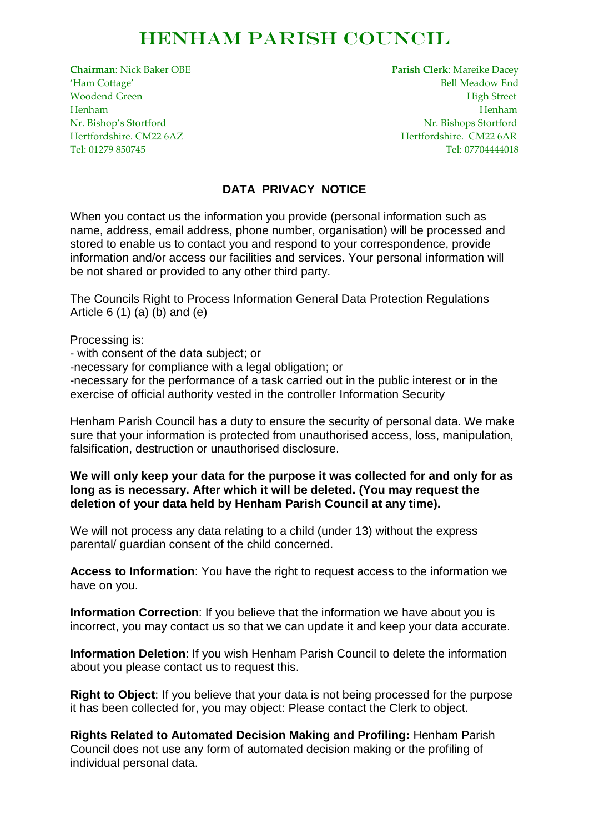## Henham Parish Council

**Chairman**: Nick Baker OBE **Parish Clerk**: Mareike Dacey 'Ham Cottage' Bell Meadow End Woodend Green **High Street High Street** Henham Henham Nr. Bishop's Stortford Nr. Bishops Stortford Hertfordshire. CM22 6AZ Hertfordshire. CM22 6AR Tel: 01279 850745 Tel: 07704444018

## **DATA PRIVACY NOTICE**

When you contact us the information you provide (personal information such as name, address, email address, phone number, organisation) will be processed and stored to enable us to contact you and respond to your correspondence, provide information and/or access our facilities and services. Your personal information will be not shared or provided to any other third party.

The Councils Right to Process Information General Data Protection Regulations Article  $6(1)(a)(b)$  and  $(e)$ 

Processing is:

- with consent of the data subject; or

-necessary for compliance with a legal obligation; or

-necessary for the performance of a task carried out in the public interest or in the exercise of official authority vested in the controller Information Security

Henham Parish Council has a duty to ensure the security of personal data. We make sure that your information is protected from unauthorised access, loss, manipulation, falsification, destruction or unauthorised disclosure.

## **We will only keep your data for the purpose it was collected for and only for as long as is necessary. After which it will be deleted. (You may request the deletion of your data held by Henham Parish Council at any time).**

We will not process any data relating to a child (under 13) without the express parental/ guardian consent of the child concerned.

**Access to Information**: You have the right to request access to the information we have on you.

**Information Correction**: If you believe that the information we have about you is incorrect, you may contact us so that we can update it and keep your data accurate.

**Information Deletion**: If you wish Henham Parish Council to delete the information about you please contact us to request this.

**Right to Object**: If you believe that your data is not being processed for the purpose it has been collected for, you may object: Please contact the Clerk to object.

**Rights Related to Automated Decision Making and Profiling:** Henham Parish Council does not use any form of automated decision making or the profiling of individual personal data.